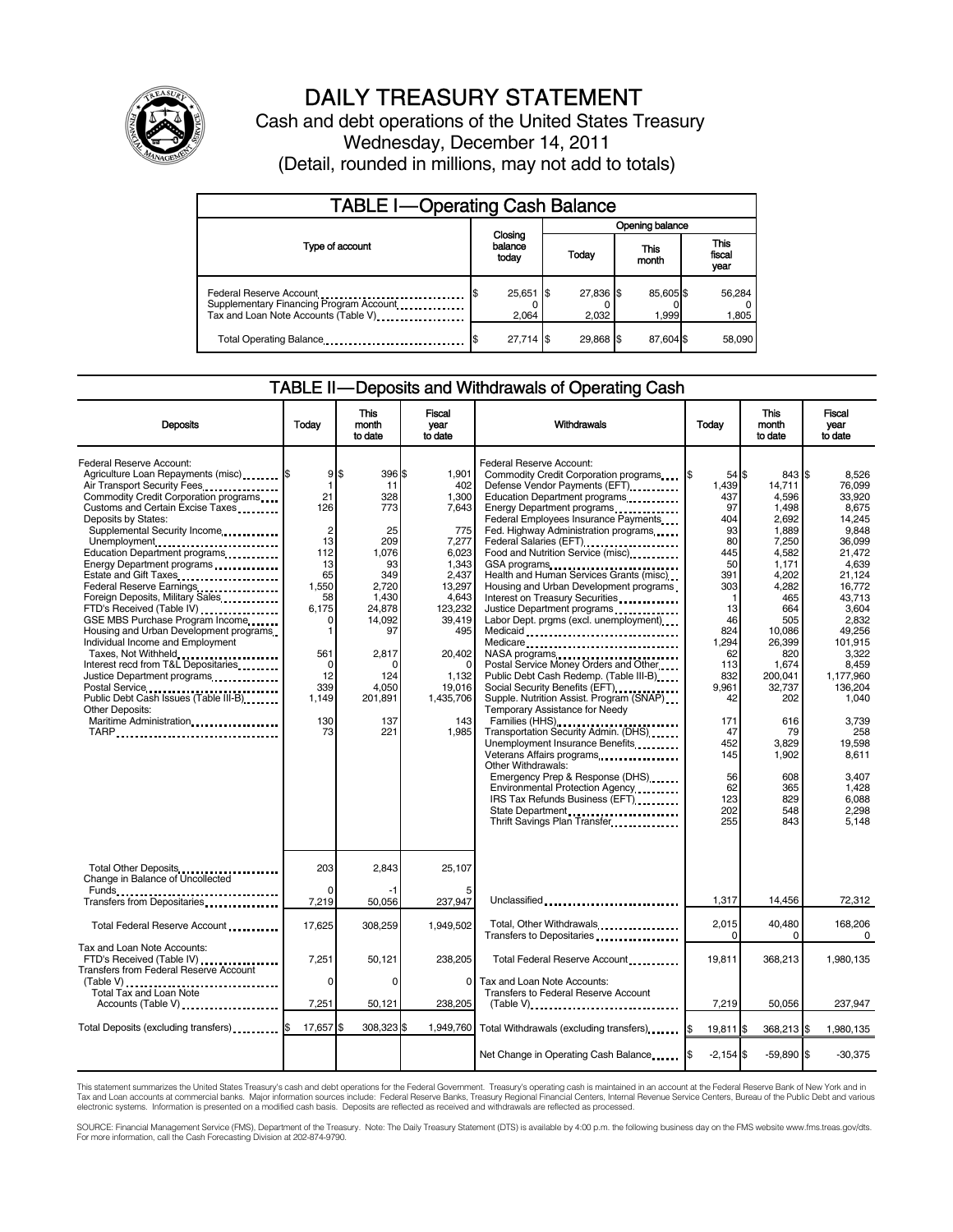

# DAILY TREASURY STATEMENT

Cash and debt operations of the United States Treasury Wednesday, December 14, 2011 (Detail, rounded in millions, may not add to totals)

| <b>TABLE I-Operating Cash Balance</b>                                                                      |                             |                      |  |                        |  |                        |  |                 |
|------------------------------------------------------------------------------------------------------------|-----------------------------|----------------------|--|------------------------|--|------------------------|--|-----------------|
|                                                                                                            |                             |                      |  | <b>Opening balance</b> |  |                        |  |                 |
| Type of account                                                                                            | Closing<br>balance<br>today |                      |  | This<br>Today<br>month |  | This<br>fiscal<br>year |  |                 |
| Federal Reserve Account<br>Supplementary Financing Program Account<br>Tax and Loan Note Accounts (Table V) |                             | $25,651$ \$<br>2.064 |  | 27,836 \$<br>2.032     |  | 85,605\$<br>1,999      |  | 56,284<br>1,805 |
| Total Operating Balance                                                                                    |                             | 27.714 \$            |  | 29.868 \$              |  | 87.604 \$              |  | 58,090          |

# TABLE II — Deposits and Withdrawals of Operating Cash

| <b>Deposits</b>                                                                                                                                                                                                                                                                                                                                                                                                                                                                                                                                                                                                                                                                                                                                              | Todav                                                                                                                                                      | <b>This</b><br>month<br>to date                                                                                                                                        | Fiscal<br>year<br>to date                                                                                                                                                                      | Withdrawals                                                                                                                                                                                                                                                                                                                                                                                                                                                                                                                                                                                                                                                                                                                                                                                                                                                                                                                                                                                                      | <b>Today</b>                                                                                                                                                                                                         | <b>This</b><br>month<br>to date                                                                                                                                                                                                                          | <b>Fiscal</b><br>vear<br>to date                                                                                                                                                                                                                                                           |
|--------------------------------------------------------------------------------------------------------------------------------------------------------------------------------------------------------------------------------------------------------------------------------------------------------------------------------------------------------------------------------------------------------------------------------------------------------------------------------------------------------------------------------------------------------------------------------------------------------------------------------------------------------------------------------------------------------------------------------------------------------------|------------------------------------------------------------------------------------------------------------------------------------------------------------|------------------------------------------------------------------------------------------------------------------------------------------------------------------------|------------------------------------------------------------------------------------------------------------------------------------------------------------------------------------------------|------------------------------------------------------------------------------------------------------------------------------------------------------------------------------------------------------------------------------------------------------------------------------------------------------------------------------------------------------------------------------------------------------------------------------------------------------------------------------------------------------------------------------------------------------------------------------------------------------------------------------------------------------------------------------------------------------------------------------------------------------------------------------------------------------------------------------------------------------------------------------------------------------------------------------------------------------------------------------------------------------------------|----------------------------------------------------------------------------------------------------------------------------------------------------------------------------------------------------------------------|----------------------------------------------------------------------------------------------------------------------------------------------------------------------------------------------------------------------------------------------------------|--------------------------------------------------------------------------------------------------------------------------------------------------------------------------------------------------------------------------------------------------------------------------------------------|
| Federal Reserve Account:<br>Agriculture Loan Repayments (misc) <b>S</b><br>Air Transport Security Fees<br>Commodity Credit Corporation programs<br>Customs and Certain Excise Taxes<br>Deposits by States:<br>Supplemental Security Income<br>Unemployment<br>Education Department programs<br>Energy Department programs<br>Estate and Gift Taxes<br>Federal Reserve Earnings<br>Foreign Deposits, Military Sales<br>FTD's Received (Table IV)<br>GSE MBS Purchase Program Income<br>Housing and Urban Development programs<br>Individual Income and Employment<br>Taxes, Not Withheld<br>Interest recd from T&L Depositaries<br>Justice Department programs<br>Public Debt Cash Issues (Table III-B)<br>Other Deposits:<br>Maritime Administration<br>TARP | 9<br>$\mathbf{1}$<br>21<br>126<br>$\overline{2}$<br>13<br>112<br>13<br>65<br>1,550<br>58<br>6,175<br>0<br>1<br>561<br>0<br>12<br>339<br>1.149<br>130<br>73 | \$<br>396 \$<br>11<br>328<br>773<br>25<br>209<br>1,076<br>93<br>349<br>2,720<br>1,430<br>24.878<br>14,092<br>97<br>2,817<br>n<br>124<br>4,050<br>201,891<br>137<br>221 | 1,901<br>402<br>1,300<br>7,643<br>775<br>7,277<br>6,023<br>1,343<br>2.437<br>13,297<br>4,643<br>123,232<br>39,419<br>495<br>20,402<br>$\Omega$<br>1,132<br>19,016<br>1,435,706<br>143<br>1,985 | Federal Reserve Account:<br>Commodity Credit Corporation programs<br>Defense Vendor Payments (EFT)<br>Education Department programs<br>Energy Department programs<br>Federal Employees Insurance Payments<br>Fed. Highway Administration programs<br>Food and Nutrition Service (misc)<br>GSA programs<br>Health and Human Services Grants (misc)<br>Housing and Urban Development programs<br>Interest on Treasury Securities<br>Justice Department programs<br>Labor Dept. prgms (excl. unemployment)<br>Medicaid<br>Medicare<br>Postal Service Money Orders and Other<br>Public Debt Cash Redemp. (Table III-B)<br>Supple. Nutrition Assist. Program (SNAP)<br>Temporary Assistance for Needy<br>Families (HHS)<br>Transportation Security Admin. (DHS)<br>Unemployment Insurance Benefits<br>Veterans Affairs programs<br><br>Other Withdrawals:<br>Emergency Prep & Response (DHS)<br>Environmental Protection Agency<br>IRS Tax Refunds Business (EFT)<br>State Department<br>Thrift Savings Plan Transfer | $54$ S<br>1.439<br>437<br>97<br>404<br>93<br>80<br>445<br>50<br>391<br>303<br>$\mathbf 1$<br>13<br>46<br>824<br>1,294<br>62<br>113<br>832<br>9,961<br>42<br>171<br>47<br>452<br>145<br>56<br>62<br>123<br>202<br>255 | 843 \$<br>14.711<br>4,596<br>1,498<br>2,692<br>1.889<br>7,250<br>4,582<br>1,171<br>4,202<br>4,282<br>465<br>664<br>505<br>10,086<br>26,399<br>820<br>1,674<br>200,041<br>32,737<br>202<br>616<br>79<br>3.829<br>1,902<br>608<br>365<br>829<br>548<br>843 | 8.526<br>76.099<br>33,920<br>8,675<br>14.245<br>9.848<br>36,099<br>21.472<br>4.639<br>21.124<br>16,772<br>43,713<br>3.604<br>2,832<br>49,256<br>101.915<br>3,322<br>8,459<br>1,177,960<br>136,204<br>1.040<br>3,739<br>258<br>19.598<br>8,611<br>3,407<br>1,428<br>6,088<br>2.298<br>5.148 |
| Total Other Deposits<br>Change in Balance of Uncollected<br>Funds ___                                                                                                                                                                                                                                                                                                                                                                                                                                                                                                                                                                                                                                                                                        | 203<br>$\Omega$                                                                                                                                            | 2.843                                                                                                                                                                  | 25.107                                                                                                                                                                                         |                                                                                                                                                                                                                                                                                                                                                                                                                                                                                                                                                                                                                                                                                                                                                                                                                                                                                                                                                                                                                  |                                                                                                                                                                                                                      |                                                                                                                                                                                                                                                          |                                                                                                                                                                                                                                                                                            |
| Transfers from Depositaries<br>                                                                                                                                                                                                                                                                                                                                                                                                                                                                                                                                                                                                                                                                                                                              | 7,219                                                                                                                                                      | 50,056                                                                                                                                                                 | 237,947                                                                                                                                                                                        | Unclassified                                                                                                                                                                                                                                                                                                                                                                                                                                                                                                                                                                                                                                                                                                                                                                                                                                                                                                                                                                                                     | 1,317                                                                                                                                                                                                                | 14,456                                                                                                                                                                                                                                                   | 72,312                                                                                                                                                                                                                                                                                     |
| Total Federal Reserve Account                                                                                                                                                                                                                                                                                                                                                                                                                                                                                                                                                                                                                                                                                                                                | 17,625                                                                                                                                                     | 308,259                                                                                                                                                                | 1,949,502                                                                                                                                                                                      | Total, Other Withdrawals<br>Transfers to Depositaries                                                                                                                                                                                                                                                                                                                                                                                                                                                                                                                                                                                                                                                                                                                                                                                                                                                                                                                                                            | 2,015<br>0                                                                                                                                                                                                           | 40,480<br>$\Omega$                                                                                                                                                                                                                                       | 168,206<br>$\Omega$                                                                                                                                                                                                                                                                        |
| Tax and Loan Note Accounts:<br>FTD's Received (Table IV)<br>Transfers from Federal Reserve Account                                                                                                                                                                                                                                                                                                                                                                                                                                                                                                                                                                                                                                                           | 7,251                                                                                                                                                      | 50.121                                                                                                                                                                 | 238,205                                                                                                                                                                                        | Total Federal Reserve Account                                                                                                                                                                                                                                                                                                                                                                                                                                                                                                                                                                                                                                                                                                                                                                                                                                                                                                                                                                                    | 19.811                                                                                                                                                                                                               | 368,213                                                                                                                                                                                                                                                  | 1,980,135                                                                                                                                                                                                                                                                                  |
| (Table V)<br>Total Tax and Loan Note<br>Accounts (Table V)                                                                                                                                                                                                                                                                                                                                                                                                                                                                                                                                                                                                                                                                                                   | $\Omega$<br>7,251                                                                                                                                          | $\Omega$<br>50,121                                                                                                                                                     | $\Omega$<br>238,205                                                                                                                                                                            | Tax and Loan Note Accounts:<br>Transfers to Federal Reserve Account<br>$(Table V)$ ,                                                                                                                                                                                                                                                                                                                                                                                                                                                                                                                                                                                                                                                                                                                                                                                                                                                                                                                             | 7,219                                                                                                                                                                                                                | 50,056                                                                                                                                                                                                                                                   | 237,947                                                                                                                                                                                                                                                                                    |
| Total Deposits (excluding transfers)                                                                                                                                                                                                                                                                                                                                                                                                                                                                                                                                                                                                                                                                                                                         | 17,657                                                                                                                                                     | 308,323                                                                                                                                                                | 1,949,760                                                                                                                                                                                      | Total Withdrawals (excluding transfers)                                                                                                                                                                                                                                                                                                                                                                                                                                                                                                                                                                                                                                                                                                                                                                                                                                                                                                                                                                          | 19,811 \$<br>1\$                                                                                                                                                                                                     | 368,213 \$                                                                                                                                                                                                                                               | 1,980,135                                                                                                                                                                                                                                                                                  |
|                                                                                                                                                                                                                                                                                                                                                                                                                                                                                                                                                                                                                                                                                                                                                              |                                                                                                                                                            |                                                                                                                                                                        |                                                                                                                                                                                                | Net Change in Operating Cash Balance                                                                                                                                                                                                                                                                                                                                                                                                                                                                                                                                                                                                                                                                                                                                                                                                                                                                                                                                                                             | $-2.154$ \$                                                                                                                                                                                                          | $-59.890$ \$                                                                                                                                                                                                                                             | $-30,375$                                                                                                                                                                                                                                                                                  |

This statement summarizes the United States Treasury's cash and debt operations for the Federal Government. Treasury's operating cash is maintained in an account at the Federal Reserve Bank of New York and in<br>Tax and Loan

SOURCE: Financial Management Service (FMS), Department of the Treasury. Note: The Daily Treasury Statement (DTS) is available by 4:00 p.m. the following business day on the FMS website www.fms.treas.gov/dts.<br>For more infor